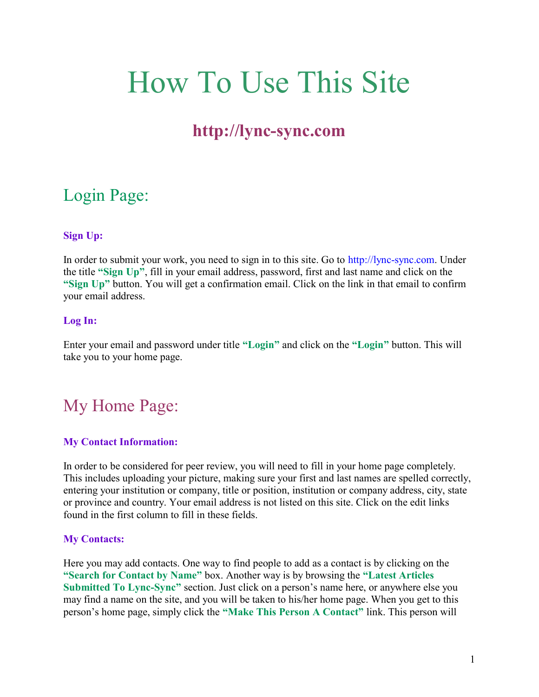# How To Use This Site

### http://lync-sync.com

### Login Page:

#### Sign Up:

In order to submit your work, you need to sign in to this site. Go to http://lync-sync.com. Under the title "Sign Up", fill in your email address, password, first and last name and click on the "Sign Up" button. You will get a confirmation email. Click on the link in that email to confirm your email address.

#### Log In:

Enter your email and password under title "Login" and click on the "Login" button. This will take you to your home page.

### My Home Page:

#### My Contact Information:

In order to be considered for peer review, you will need to fill in your home page completely. This includes uploading your picture, making sure your first and last names are spelled correctly, entering your institution or company, title or position, institution or company address, city, state or province and country. Your email address is not listed on this site. Click on the edit links found in the first column to fill in these fields.

#### My Contacts:

Here you may add contacts. One way to find people to add as a contact is by clicking on the "Search for Contact by Name" box. Another way is by browsing the "Latest Articles Submitted To Lync-Sync" section. Just click on a person's name here, or anywhere else you may find a name on the site, and you will be taken to his/her home page. When you get to this person's home page, simply click the "Make This Person A Contact" link. This person will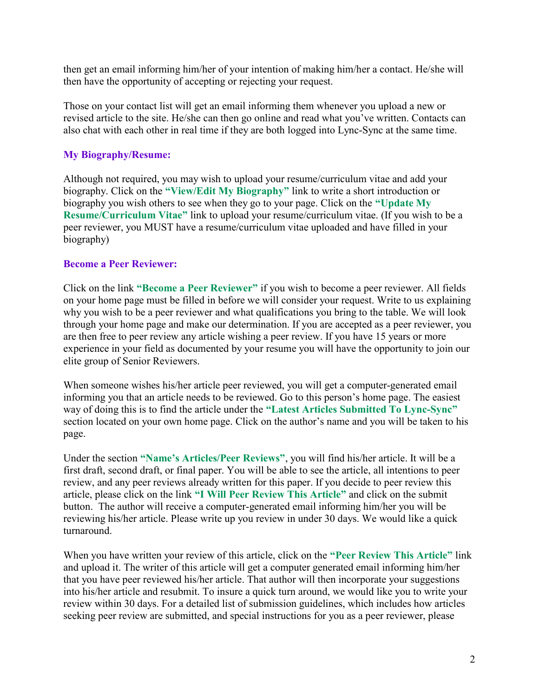then get an email informing him/her of your intention of making him/her a contact. He/she will then have the opportunity of accepting or rejecting your request.

Those on your contact list will get an email informing them whenever you upload a new or revised article to the site. He/she can then go online and read what you've written. Contacts can also chat with each other in real time if they are both logged into Lync-Sync at the same time.

#### My Biography/Resume:

Although not required, you may wish to upload your resume/curriculum vitae and add your biography. Click on the "View/Edit My Biography" link to write a short introduction or biography you wish others to see when they go to your page. Click on the "Update My Resume/Curriculum Vitae" link to upload your resume/curriculum vitae. (If you wish to be a peer reviewer, you MUST have a resume/curriculum vitae uploaded and have filled in your biography)

#### Become a Peer Reviewer:

Click on the link "Become a Peer Reviewer" if you wish to become a peer reviewer. All fields on your home page must be filled in before we will consider your request. Write to us explaining why you wish to be a peer reviewer and what qualifications you bring to the table. We will look through your home page and make our determination. If you are accepted as a peer reviewer, you are then free to peer review any article wishing a peer review. If you have 15 years or more experience in your field as documented by your resume you will have the opportunity to join our elite group of Senior Reviewers.

When someone wishes his/her article peer reviewed, you will get a computer-generated email informing you that an article needs to be reviewed. Go to this person's home page. The easiest way of doing this is to find the article under the "Latest Articles Submitted To Lync-Sync" section located on your own home page. Click on the author's name and you will be taken to his page.

Under the section "Name's Articles/Peer Reviews", you will find his/her article. It will be a first draft, second draft, or final paper. You will be able to see the article, all intentions to peer review, and any peer reviews already written for this paper. If you decide to peer review this article, please click on the link "I Will Peer Review This Article" and click on the submit button. The author will receive a computer-generated email informing him/her you will be reviewing his/her article. Please write up you review in under 30 days. We would like a quick turnaround.

When you have written your review of this article, click on the "Peer Review This Article" link and upload it. The writer of this article will get a computer generated email informing him/her that you have peer reviewed his/her article. That author will then incorporate your suggestions into his/her article and resubmit. To insure a quick turn around, we would like you to write your review within 30 days. For a detailed list of submission guidelines, which includes how articles seeking peer review are submitted, and special instructions for you as a peer reviewer, please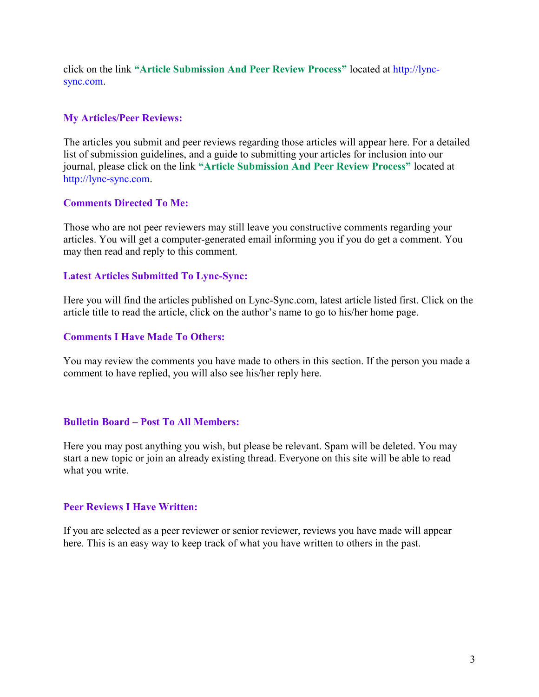click on the link "Article Submission And Peer Review Process" located at http://lyncsync.com.

#### My Articles/Peer Reviews:

The articles you submit and peer reviews regarding those articles will appear here. For a detailed list of submission guidelines, and a guide to submitting your articles for inclusion into our journal, please click on the link "Article Submission And Peer Review Process" located at http://lync-sync.com.

#### Comments Directed To Me:

Those who are not peer reviewers may still leave you constructive comments regarding your articles. You will get a computer-generated email informing you if you do get a comment. You may then read and reply to this comment.

#### Latest Articles Submitted To Lync-Sync:

Here you will find the articles published on Lync-Sync.com, latest article listed first. Click on the article title to read the article, click on the author's name to go to his/her home page.

#### Comments I Have Made To Others:

You may review the comments you have made to others in this section. If the person you made a comment to have replied, you will also see his/her reply here.

#### Bulletin Board – Post To All Members:

Here you may post anything you wish, but please be relevant. Spam will be deleted. You may start a new topic or join an already existing thread. Everyone on this site will be able to read what you write.

#### Peer Reviews I Have Written:

If you are selected as a peer reviewer or senior reviewer, reviews you have made will appear here. This is an easy way to keep track of what you have written to others in the past.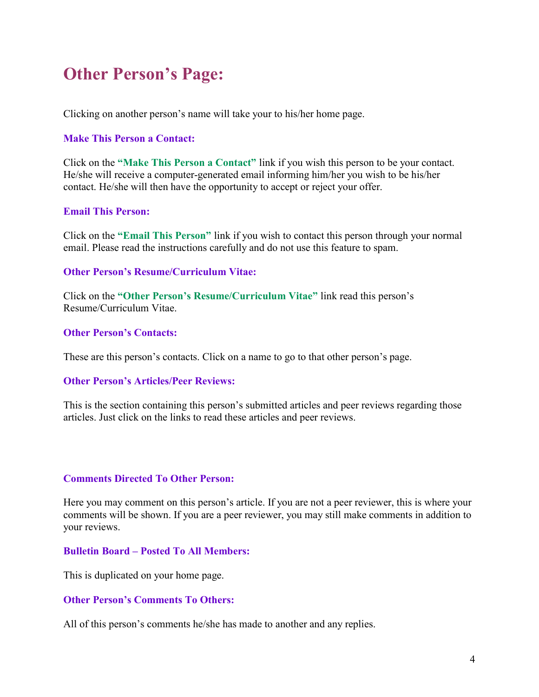### Other Person's Page:

Clicking on another person's name will take your to his/her home page.

#### Make This Person a Contact:

Click on the "Make This Person a Contact" link if you wish this person to be your contact. He/she will receive a computer-generated email informing him/her you wish to be his/her contact. He/she will then have the opportunity to accept or reject your offer.

#### Email This Person:

Click on the "Email This Person" link if you wish to contact this person through your normal email. Please read the instructions carefully and do not use this feature to spam.

#### Other Person's Resume/Curriculum Vitae:

Click on the "Other Person's Resume/Curriculum Vitae" link read this person's Resume/Curriculum Vitae.

#### Other Person's Contacts:

These are this person's contacts. Click on a name to go to that other person's page.

#### Other Person's Articles/Peer Reviews:

This is the section containing this person's submitted articles and peer reviews regarding those articles. Just click on the links to read these articles and peer reviews.

#### Comments Directed To Other Person:

Here you may comment on this person's article. If you are not a peer reviewer, this is where your comments will be shown. If you are a peer reviewer, you may still make comments in addition to your reviews.

#### Bulletin Board – Posted To All Members:

This is duplicated on your home page.

#### Other Person's Comments To Others:

All of this person's comments he/she has made to another and any replies.